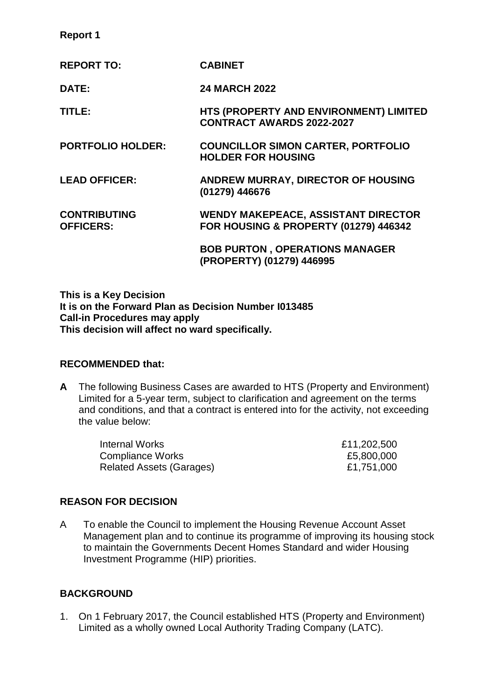| <b>Report 1</b> |  |
|-----------------|--|
|-----------------|--|

| <b>REPORT TO:</b>                       | <b>CABINET</b>                                                                                 |
|-----------------------------------------|------------------------------------------------------------------------------------------------|
| DATE:                                   | <b>24 MARCH 2022</b>                                                                           |
| TITLE:                                  | HTS (PROPERTY AND ENVIRONMENT) LIMITED<br><b>CONTRACT AWARDS 2022-2027</b>                     |
| <b>PORTFOLIO HOLDER:</b>                | <b>COUNCILLOR SIMON CARTER, PORTFOLIO</b><br><b>HOLDER FOR HOUSING</b>                         |
| <b>LEAD OFFICER:</b>                    | ANDREW MURRAY, DIRECTOR OF HOUSING<br>(01279) 446676                                           |
| <b>CONTRIBUTING</b><br><b>OFFICERS:</b> | <b>WENDY MAKEPEACE, ASSISTANT DIRECTOR</b><br><b>FOR HOUSING &amp; PROPERTY (01279) 446342</b> |
|                                         | <b>BOB PURTON, OPERATIONS MANAGER</b><br>(PROPERTY) (01279) 446995                             |

**This is a Key Decision It is on the Forward Plan as Decision Number I013485 Call-in Procedures may apply This decision will affect no ward specifically.**

## **RECOMMENDED that:**

**A** The following Business Cases are awarded to HTS (Property and Environment) Limited for a 5-year term, subject to clarification and agreement on the terms and conditions, and that a contract is entered into for the activity, not exceeding the value below:

| Internal Works           | £11,202,500 |
|--------------------------|-------------|
| <b>Compliance Works</b>  | £5,800,000  |
| Related Assets (Garages) | £1,751,000  |

## **REASON FOR DECISION**

A To enable the Council to implement the Housing Revenue Account Asset Management plan and to continue its programme of improving its housing stock to maintain the Governments Decent Homes Standard and wider Housing Investment Programme (HIP) priorities.

## **BACKGROUND**

1. On 1 February 2017, the Council established HTS (Property and Environment) Limited as a wholly owned Local Authority Trading Company (LATC).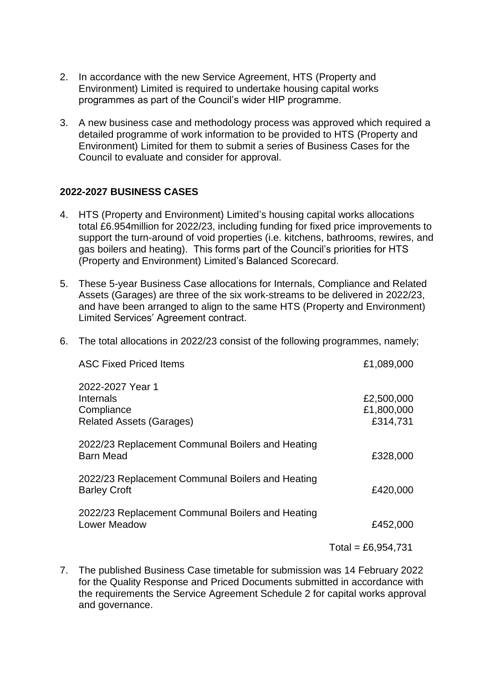- 2. In accordance with the new Service Agreement, HTS (Property and Environment) Limited is required to undertake housing capital works programmes as part of the Council's wider HIP programme.
- 3. A new business case and methodology process was approved which required a detailed programme of work information to be provided to HTS (Property and Environment) Limited for them to submit a series of Business Cases for the Council to evaluate and consider for approval.

## **2022-2027 BUSINESS CASES**

- 4. HTS (Property and Environment) Limited's housing capital works allocations total £6.954million for 2022/23, including funding for fixed price improvements to support the turn-around of void properties (i.e. kitchens, bathrooms, rewires, and gas boilers and heating). This forms part of the Council's priorities for HTS (Property and Environment) Limited's Balanced Scorecard.
- 5. These 5-year Business Case allocations for Internals, Compliance and Related Assets (Garages) are three of the six work-streams to be delivered in 2022/23, and have been arranged to align to the same HTS (Property and Environment) Limited Services' Agreement contract.

|  |  |  | 6. The total allocations in 2022/23 consist of the following programmes, namely; |  |
|--|--|--|----------------------------------------------------------------------------------|--|
|  |  |  |                                                                                  |  |

| <b>ASC Fixed Priced Items</b>                                                  | £1,089,000                           |
|--------------------------------------------------------------------------------|--------------------------------------|
| 2022-2027 Year 1<br>Internals<br>Compliance<br><b>Related Assets (Garages)</b> | £2,500,000<br>£1,800,000<br>£314,731 |
| 2022/23 Replacement Communal Boilers and Heating<br><b>Barn Mead</b>           | £328,000                             |
| 2022/23 Replacement Communal Boilers and Heating<br><b>Barley Croft</b>        | £420,000                             |
| 2022/23 Replacement Communal Boilers and Heating<br><b>Lower Meadow</b>        | £452,000                             |
|                                                                                | Total = £6,954,731                   |

7. The published Business Case timetable for submission was 14 February 2022 for the Quality Response and Priced Documents submitted in accordance with the requirements the Service Agreement Schedule 2 for capital works approval and governance.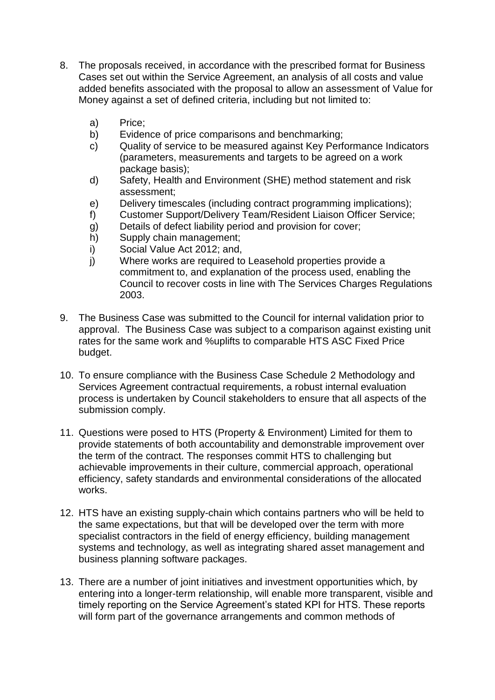- 8. The proposals received, in accordance with the prescribed format for Business Cases set out within the Service Agreement, an analysis of all costs and value added benefits associated with the proposal to allow an assessment of Value for Money against a set of defined criteria, including but not limited to:
	- a) Price;
	- b) Evidence of price comparisons and benchmarking;
	- c) Quality of service to be measured against Key Performance Indicators (parameters, measurements and targets to be agreed on a work package basis);
	- d) Safety, Health and Environment (SHE) method statement and risk assessment;
	- e) Delivery timescales (including contract programming implications);
	- f) Customer Support/Delivery Team/Resident Liaison Officer Service;
	- g) Details of defect liability period and provision for cover;
	- h) Supply chain management;
	- i) Social Value Act 2012; and,
	- j) Where works are required to Leasehold properties provide a commitment to, and explanation of the process used, enabling the Council to recover costs in line with The Services Charges Regulations 2003.
- 9. The Business Case was submitted to the Council for internal validation prior to approval. The Business Case was subject to a comparison against existing unit rates for the same work and %uplifts to comparable HTS ASC Fixed Price budget.
- 10. To ensure compliance with the Business Case Schedule 2 Methodology and Services Agreement contractual requirements, a robust internal evaluation process is undertaken by Council stakeholders to ensure that all aspects of the submission comply.
- 11. Questions were posed to HTS (Property & Environment) Limited for them to provide statements of both accountability and demonstrable improvement over the term of the contract. The responses commit HTS to challenging but achievable improvements in their culture, commercial approach, operational efficiency, safety standards and environmental considerations of the allocated works.
- 12. HTS have an existing supply-chain which contains partners who will be held to the same expectations, but that will be developed over the term with more specialist contractors in the field of energy efficiency, building management systems and technology, as well as integrating shared asset management and business planning software packages.
- 13. There are a number of joint initiatives and investment opportunities which, by entering into a longer-term relationship, will enable more transparent, visible and timely reporting on the Service Agreement's stated KPI for HTS. These reports will form part of the governance arrangements and common methods of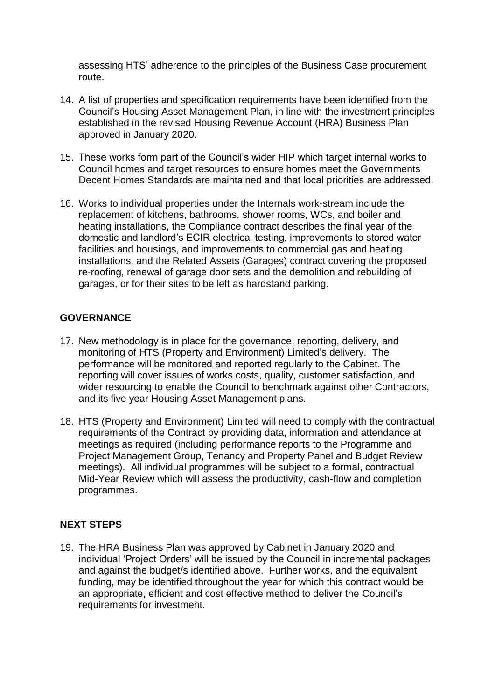assessing HTS' adherence to the principles of the Business Case procurement route.

- 14. A list of properties and specification requirements have been identified from the Council's Housing Asset Management Plan, in line with the investment principles established in the revised Housing Revenue Account (HRA) Business Plan approved in January 2020.
- 15. These works form part of the Council's wider HIP which target internal works to Council homes and target resources to ensure homes meet the Governments Decent Homes Standards are maintained and that local priorities are addressed.
- 16. Works to individual properties under the Internals work-stream include the replacement of kitchens, bathrooms, shower rooms, WCs, and boiler and heating installations, the Compliance contract describes the final year of the domestic and landlord's ECIR electrical testing, improvements to stored water facilities and housings, and improvements to commercial gas and heating installations, and the Related Assets (Garages) contract covering the proposed re-roofing, renewal of garage door sets and the demolition and rebuilding of garages, or for their sites to be left as hardstand parking.

# **GOVERNANCE**

- 17. New methodology is in place for the governance, reporting, delivery, and monitoring of HTS (Property and Environment) Limited's delivery. The performance will be monitored and reported regularly to the Cabinet. The reporting will cover issues of works costs, quality, customer satisfaction, and wider resourcing to enable the Council to benchmark against other Contractors, and its five year Housing Asset Management plans.
- 18. HTS (Property and Environment) Limited will need to comply with the contractual requirements of the Contract by providing data, information and attendance at meetings as required (including performance reports to the Programme and Project Management Group, Tenancy and Property Panel and Budget Review meetings). All individual programmes will be subject to a formal, contractual Mid-Year Review which will assess the productivity, cash-flow and completion programmes.

## **NEXT STEPS**

19. The HRA Business Plan was approved by Cabinet in January 2020 and individual 'Project Orders' will be issued by the Council in incremental packages and against the budget/s identified above. Further works, and the equivalent funding, may be identified throughout the year for which this contract would be an appropriate, efficient and cost effective method to deliver the Council's requirements for investment.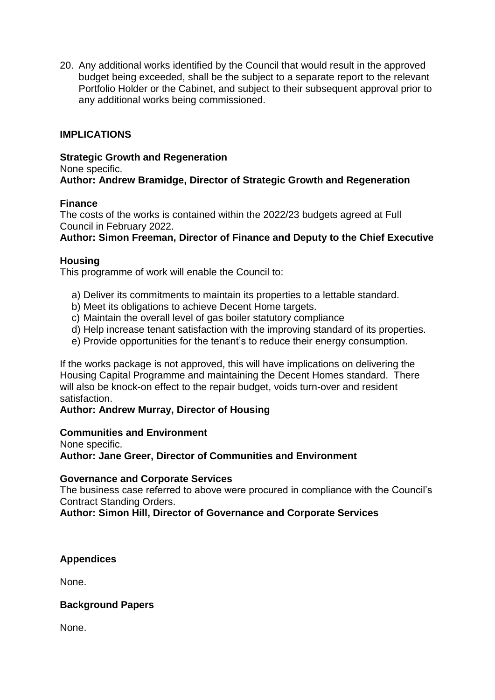20. Any additional works identified by the Council that would result in the approved budget being exceeded, shall be the subject to a separate report to the relevant Portfolio Holder or the Cabinet, and subject to their subsequent approval prior to any additional works being commissioned.

## **IMPLICATIONS**

#### **Strategic Growth and Regeneration**

None specific.

**Author: Andrew Bramidge, Director of Strategic Growth and Regeneration**

## **Finance**

The costs of the works is contained within the 2022/23 budgets agreed at Full Council in February 2022.

## **Author: Simon Freeman, Director of Finance and Deputy to the Chief Executive**

## **Housing**

This programme of work will enable the Council to:

- a) Deliver its commitments to maintain its properties to a lettable standard.
- b) Meet its obligations to achieve Decent Home targets.
- c) Maintain the overall level of gas boiler statutory compliance
- d) Help increase tenant satisfaction with the improving standard of its properties.
- e) Provide opportunities for the tenant's to reduce their energy consumption.

If the works package is not approved, this will have implications on delivering the Housing Capital Programme and maintaining the Decent Homes standard. There will also be knock-on effect to the repair budget, voids turn-over and resident satisfaction.

## **Author: Andrew Murray, Director of Housing**

## **Communities and Environment**

None specific.

**Author: Jane Greer, Director of Communities and Environment**

#### **Governance and Corporate Services**

The business case referred to above were procured in compliance with the Council's Contract Standing Orders.

## **Author: Simon Hill, Director of Governance and Corporate Services**

## **Appendices**

None.

## **Background Papers**

None.